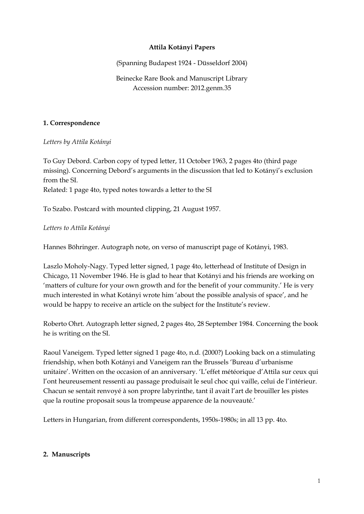#### **Attila Kotányi Papers**

(Spanning Budapest 1924 - Düsseldorf 2004)

## Beinecke Rare Book and Manuscript Library Accession number: 2012.genm.35

#### **1. Correspondence**

*Letters by Attila Kotányi*

To Guy Debord. Carbon copy of typed letter, 11 October 1963, 2 pages 4to (third page missing). Concerning Debord's arguments in the discussion that led to Kotányi's exclusion from the SI. Related: 1 page 4to, typed notes towards a letter to the SI

To Szabo. Postcard with mounted clipping, 21 August 1957.

### *Letters to Attila Kotányi*

Hannes Böhringer. Autograph note, on verso of manuscript page of Kotányi, 1983.

Laszlo Moholy-Nagy. Typed letter signed, 1 page 4to, letterhead of Institute of Design in Chicago, 11 November 1946. He is glad to hear that Kotányi and his friends are working on 'matters of culture for your own growth and for the benefit of your community.' He is very much interested in what Kotányi wrote him 'about the possible analysis of space', and he would be happy to receive an article on the subject for the Institute's review.

Roberto Ohrt. Autograph letter signed, 2 pages 4to, 28 September 1984. Concerning the book he is writing on the SI.

Raoul Vaneigem. Typed letter signed 1 page 4to, n.d. (2000?) Looking back on a stimulating friendship, when both Kotányi and Vaneigem ran the Brussels 'Bureau d'urbanisme unitaire'. Written on the occasion of an anniversary. 'L'effet météorique d'Attila sur ceux qui l'ont heureusement ressenti au passage produisait le seul choc qui vaille, celui de l'intérieur. Chacun se sentait renvoyé à son propre labyrinthe, tant il avait l'art de brouiller les pistes que la routine proposait sous la trompeuse apparence de la nouveauté.'

Letters in Hungarian, from different correspondents, 1950s-1980s; in all 13 pp. 4to.

#### **2. Manuscripts**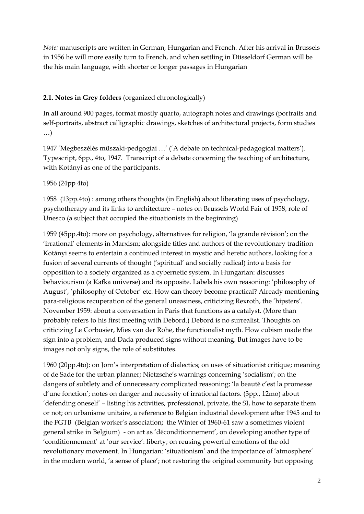*Note:* manuscripts are written in German, Hungarian and French. After his arrival in Brussels in 1956 he will more easily turn to French, and when settling in Düsseldorf German will be the his main language, with shorter or longer passages in Hungarian

# **2.1. Notes in Grey folders** (organized chronologically)

In all around 900 pages, format mostly quarto, autograph notes and drawings (portraits and self-portraits, abstract calligraphic drawings, sketches of architectural projects, form studies …)

1947 'Megbeszélés müszaki-pedgogiai …' ('A debate on technical-pedagogical matters'). Typescript, 6pp., 4to, 1947. Transcript of a debate concerning the teaching of architecture, with Kotányi as one of the participants.

## 1956 (24pp 4to)

1958 (13pp.4to) : among others thoughts (in English) about liberating uses of psychology, psychotherapy and its links to architecture – notes on Brussels World Fair of 1958, role of Unesco (a subject that occupied the situationists in the beginning)

1959 (45pp.4to): more on psychology, alternatives for religion, 'la grande révision'; on the 'irrational' elements in Marxism; alongside titles and authors of the revolutionary tradition Kotányi seems to entertain a continued interest in mystic and heretic authors, looking for a fusion of several currents of thought ('spiritual' and socially radical) into a basis for opposition to a society organized as a cybernetic system. In Hungarian: discusses behaviourism (a Kafka universe) and its opposite. Labels his own reasoning: 'philosophy of August', 'philosophy of October' etc. How can theory become practical? Already mentioning para-religious recuperation of the general uneasiness, criticizing Rexroth, the 'hipsters'. November 1959: about a conversation in Paris that functions as a catalyst. (More than probably refers to his first meeting with Debord.) Debord is no surrealist. Thoughts on criticizing Le Corbusier, Mies van der Rohe, the functionalist myth. How cubism made the sign into a problem, and Dada produced signs without meaning. But images have to be images not only signs, the role of substitutes.

1960 (20pp.4to): on Jorn's interpretation of dialectics; on uses of situationist critique; meaning of de Sade for the urban planner; Nietzsche's warnings concerning 'socialism'; on the dangers of subtlety and of unnecessary complicated reasoning; 'la beauté c'est la promesse d'une fonction'; notes on danger and necessity of irrational factors. (3pp., 12mo) about 'defending oneself' – listing his activities, professional, private, the SI, how to separate them or not; on urbanisme unitaire, a reference to Belgian industrial development after 1945 and to the FGTB (Belgian worker's association; the Winter of 1960-61 saw a sometimes violent general strike in Belgium) - on art as 'déconditionnement', on developing another type of 'conditionnement' at 'our service': liberty; on reusing powerful emotions of the old revolutionary movement. In Hungarian: 'situationism' and the importance of 'atmosphere' in the modern world, 'a sense of place'; not restoring the original community but opposing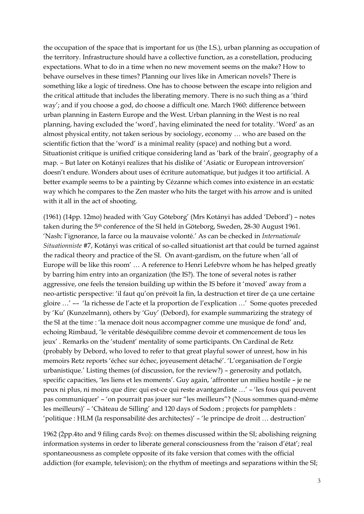the occupation of the space that is important for us (the I.S.), urban planning as occupation of the territory. Infrastructure should have a collective function, as a constellation, producing expectations. What to do in a time when no new movement seems on the make? How to behave ourselves in these times? Planning our lives like in American novels? There is something like a logic of tiredness. One has to choose between the escape into religion and the critical attitude that includes the liberating memory. There is no such thing as a 'third way'; and if you choose a god, do choose a difficult one. March 1960: difference between urban planning in Eastern Europe and the West. Urban planning in the West is no real planning, having excluded the 'word', having eliminated the need for totality. 'Word' as an almost physical entity, not taken serious by sociology, economy … who are based on the scientific fiction that the 'word' is a minimal reality (space) and nothing but a word. Situationist critique is unified critique considering land as 'bark of the brain', geography of a map. – But later on Kotányi realizes that his dislike of 'Asiatic or European introversion' doesn't endure. Wonders about uses of écriture automatique, but judges it too artificial. A better example seems to be a painting by Cézanne which comes into existence in an ecstatic way which he compares to the Zen master who hits the target with his arrow and is united with it all in the act of shooting.

(1961) (14pp. 12mo) headed with 'Guy Göteborg' (Mrs Kotányi has added 'Debord') – notes taken during the 5th conference of the SI held in Göteborg, Sweden, 28-30 August 1961. 'Nash: l'ignorance, la farce ou la mauvaise volonté.' As can be checked in *Internationale Situationniste* #7, Kotányi was critical of so-called situationist art that could be turned against the radical theory and practice of the SI. On avant-gardism, on the future when 'all of Europe will be like this room' … A reference to Henri Lefebvre whom he has helped greatly by barring him entry into an organization (the IS?). The tone of several notes is rather aggressive, one feels the tension building up within the IS before it 'moved' away from a neo-artistic perspective: 'il faut qu'on prévoit la fin, la destruction et tirer de ça une certaine gloire …' –– 'la richesse de l'acte et la proportion de l'explication …' Some quotes preceded by 'Ku' (Kunzelmann), others by 'Guy' (Debord), for example summarizing the strategy of the SI at the time : 'la menace doit nous accompagner comme une musique de fond' and, echoing Rimbaud, 'le véritable déséquilibre comme devoir et commencement de tous les jeux' . Remarks on the 'student' mentality of some participants. On Cardinal de Retz (probably by Debord, who loved to refer to that great playful sower of unrest, how in his memoirs Retz reports 'échec sur échec, joyeusement détaché'. 'L'organisation de l'orgie urbanistique.' Listing themes (of discussion, for the review?) – generosity and potlatch, specific capacities, 'les liens et les moments'. Guy again, 'affronter un milieu hostile – je ne peux ni plus, ni moins que dire: qui est-ce qui reste avantgardiste …' – 'les fous qui peuvent pas communiquer' – 'on pourrait pas jouer sur "les meilleurs"? (Nous sommes quand-même les meilleurs)' – 'Château de Silling' and 120 days of Sodom ; projects for pamphlets : 'politique : HLM (la responsabilité des architectes)' – 'le principe de droit … destruction'

1962 (2pp.4to and 9 filing cards 8vo): on themes discussed within the SI; abolishing reigning information systems in order to liberate general consciousness from the 'raison d'état'; real spontaneousness as complete opposite of its fake version that comes with the official addiction (for example, television); on the rhythm of meetings and separations within the SI;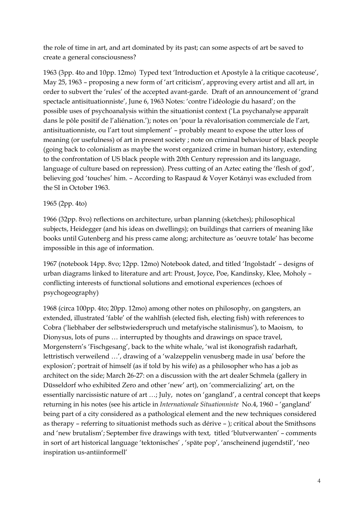the role of time in art, and art dominated by its past; can some aspects of art be saved to create a general consciousness?

1963 (3pp. 4to and 10pp. 12mo) Typed text 'Introduction et Apostyle à la critique cacoteuse', May 25, 1963 – proposing a new form of 'art criticism', approving every artist and all art, in order to subvert the 'rules' of the accepted avant-garde. Draft of an announcement of 'grand spectacle antisituationniste', June 6, 1963 Notes: 'contre l'idéologie du hasard'; on the possible uses of psychoanalysis within the situationist context ('La psychanalyse apparaît dans le pôle positif de l'aliénation.'); notes on 'pour la révalorisation commerciale de l'art, antisituationniste, ou l'art tout simplement' – probably meant to expose the utter loss of meaning (or usefulness) of art in present society ; note on criminal behaviour of black people (going back to colonialism as maybe the worst organized crime in human history, extending to the confrontation of US black people with 20th Century repression and its language, language of culture based on repression). Press cutting of an Aztec eating the 'flesh of god', believing god 'touches' him. – According to Raspaud & Voyer Kotányi was excluded from the SI in October 1963.

### 1965 (2pp. 4to)

1966 (32pp. 8vo) reflections on architecture, urban planning (sketches); philosophical subjects, Heidegger (and his ideas on dwellings); on buildings that carriers of meaning like books until Gutenberg and his press came along; architecture as 'oeuvre totale' has become impossible in this age of information.

1967 (notebook 14pp. 8vo; 12pp. 12mo) Notebook dated, and titled 'Ingolstadt' – designs of urban diagrams linked to literature and art: Proust, Joyce, Poe, Kandinsky, Klee, Moholy – conflicting interests of functional solutions and emotional experiences (echoes of psychogeography)

1968 (circa 100pp. 4to; 20pp. 12mo) among other notes on philosophy, on gangsters, an extended, illustrated 'fable' of the wahlfish (elected fish, electing fish) with references to Cobra ('liebhaber der selbstwiederspruch und metafyische stalinismus'), to Maoism, to Dionysus, lots of puns … interrupted by thoughts and drawings on space travel, Morgenstern's 'Fischgesang', back to the white whale, 'wal ist ikonografish radarhaft, lettristisch verweilend …', drawing of a 'walzeppelin venusberg made in usa' before the explosion'; portrait of himself (as if told by his wife) as a philosopher who has a job as architect on the side; March 26-27: on a discussion with the art dealer Schmela (gallery in Düsseldorf who exhibited Zero and other 'new' art), on 'commercializing' art, on the essentially narcissistic nature of art …; July, notes on 'gangland', a central concept that keeps returning in his notes (see his article in *Internationale Situationniste* No.4, 1960 – 'gangland' being part of a city considered as a pathological element and the new techniques considered as therapy – referring to situationist methods such as dérive – ); critical about the Smithsons and 'new brutalism'; September five drawings with text, titled 'blutverwanten' – comments in sort of art historical language 'tektonisches' , 'späte pop', 'anscheinend jugendstil', 'neo inspiration us-antiinformell'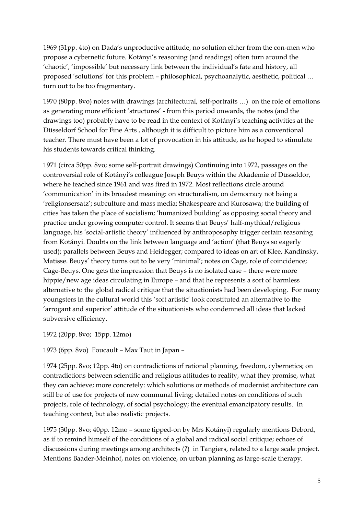1969 (31pp. 4to) on Dada's unproductive attitude, no solution either from the con-men who propose a cybernetic future. Kotányi's reasoning (and readings) often turn around the 'chaotic', 'impossible' but necessary link between the individual's fate and history, all proposed 'solutions' for this problem – philosophical, psychoanalytic, aesthetic, political … turn out to be too fragmentary.

1970 (80pp. 8vo) notes with drawings (architectural, self-portraits …) on the role of emotions as generating more efficient 'structures' - from this period onwards, the notes (and the drawings too) probably have to be read in the context of Kotányi's teaching activities at the Düsseldorf School for Fine Arts , although it is difficult to picture him as a conventional teacher. There must have been a lot of provocation in his attitude, as he hoped to stimulate his students towards critical thinking.

1971 (circa 50pp. 8vo; some self-portrait drawings) Continuing into 1972, passages on the controversial role of Kotányi's colleague Joseph Beuys within the Akademie of Düsseldor, where he teached since 1961 and was fired in 1972. Most reflections circle around 'communication' in its broadest meaning: on structuralism, on democracy not being a 'religionsersatz'; subculture and mass media; Shakespeare and Kurosawa; the building of cities has taken the place of socialism; 'humanized building' as opposing social theory and practice under growing computer control. It seems that Beuys' half-mythical/religious language, his 'social-artistic theory' influenced by anthroposophy trigger certain reasoning from Kotányi. Doubts on the link between language and 'action' (that Beuys so eagerly used); parallels between Beuys and Heidegger; compared to ideas on art of Klee, Kandinsky, Matisse. Beuys' theory turns out to be very 'minimal'; notes on Cage, role of coincidence; Cage-Beuys. One gets the impression that Beuys is no isolated case – there were more hippie/new age ideas circulating in Europe – and that he represents a sort of harmless alternative to the global radical critique that the situationists had been developing. For many youngsters in the cultural world this 'soft artistic' look constituted an alternative to the 'arrogant and superior' attitude of the situationists who condemned all ideas that lacked subversive efficiency.

1972 (20pp. 8vo; 15pp. 12mo)

1973 (6pp. 8vo) Foucault – Max Taut in Japan –

1974 (25pp. 8vo; 12pp. 4to) on contradictions of rational planning, freedom, cybernetics; on contradictions between scientific and religious attitudes to reality, what they promise, what they can achieve; more concretely: which solutions or methods of modernist architecture can still be of use for projects of new communal living; detailed notes on conditions of such projects, role of technology, of social psychology; the eventual emancipatory results. In teaching context, but also realistic projects.

1975 (30pp. 8vo; 40pp. 12mo – some tipped-on by Mrs Kotányi) regularly mentions Debord, as if to remind himself of the conditions of a global and radical social critique; echoes of discussions during meetings among architects (?) in Tangiers, related to a large scale project. Mentions Baader-Meinhof, notes on violence, on urban planning as large-scale therapy.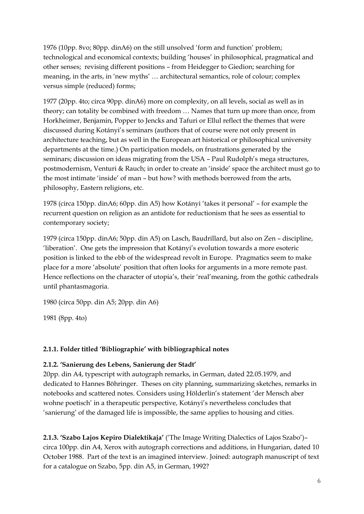1976 (10pp. 8vo; 80pp. dinA6) on the still unsolved 'form and function' problem; technological and economical contexts; building 'houses' in philosophical, pragmatical and other senses; revising different positions – from Heidegger to Giedion; searching for meaning, in the arts, in 'new myths' … architectural semantics, role of colour; complex versus simple (reduced) forms;

1977 (20pp. 4to; circa 90pp. dinA6) more on complexity, on all levels, social as well as in theory; can totality be combined with freedom … Names that turn up more than once, from Horkheimer, Benjamin, Popper to Jencks and Tafuri or Ellul reflect the themes that were discussed during Kotányi's seminars (authors that of course were not only present in architecture teaching, but as well in the European art historical or philosophical university departments at the time.) On participation models, on frustrations generated by the seminars; discussion on ideas migrating from the USA – Paul Rudolph's mega structures, postmodernism, Venturi & Rauch; in order to create an 'inside' space the architect must go to the most intimate 'inside' of man – but how? with methods borrowed from the arts, philosophy, Eastern religions, etc.

1978 (circa 150pp. dinA6; 60pp. din A5) how Kotányi 'takes it personal' – for example the recurrent question on religion as an antidote for reductionism that he sees as essential to contemporary society;

1979 (circa 150pp. dinA6; 50pp. din A5) on Lasch, Baudrillard, but also on Zen – discipline, 'liberation'. One gets the impression that Kotányi's evolution towards a more esoteric position is linked to the ebb of the widespread revolt in Europe. Pragmatics seem to make place for a more 'absolute' position that often looks for arguments in a more remote past. Hence reflections on the character of utopia's, their 'real'meaning, from the gothic cathedrals until phantasmagoria.

1980 (circa 50pp. din A5; 20pp. din A6)

1981 (8pp. 4to)

### **2.1.1. Folder titled 'Bibliographie' with bibliographical notes**

### **2.1.2. 'Sanierung des Lebens, Sanierung der Stadt'**

20pp. din A4, typescript with autograph remarks, in German, dated 22.05.1979, and dedicated to Hannes Böhringer. Theses on city planning, summarizing sketches, remarks in notebooks and scattered notes. Considers using Hölderlin's statement 'der Mensch aber wohne poetisch' in a therapeutic perspective, Kotányi's nevertheless concludes that 'sanierung' of the damaged life is impossible, the same applies to housing and cities.

**2.1.3. 'Szabo Lajos Kepiro Dialektikaja'** ('The Image Writing Dialectics of Lajos Szabo')– circa 100pp. din A4, Xerox with autograph corrections and additions, in Hungarian, dated 10 October 1988. Part of the text is an imagined interview. Joined: autograph manuscript of text for a catalogue on Szabo, 5pp. din A5, in German, 1992?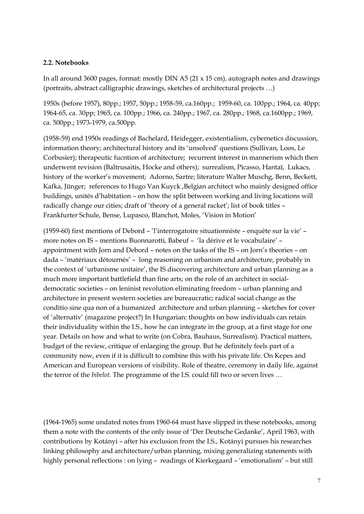#### **2.2. Notebooks**

In all around 3600 pages, format: mostly DIN A5 (21 x 15 cm), autograph notes and drawings (portraits, abstract calligraphic drawings, sketches of architectural projects …)

1950s (before 1957), 80pp.; 1957, 50pp.; 1958-59, ca.160pp.; 1959-60, ca. 100pp.; 1964, ca. 40pp; 1964-65, ca. 30pp; 1965, ca. 100pp.; 1966, ca. 240pp.; 1967, ca. 280pp.; 1968, ca.1600pp.; 1969, ca. 500pp.; 1973-1979, ca.500pp.

(1958-59) end 1950s readings of Bachelard, Heidegger, existentialism, cybernetics discussion, information theory; architectural history and its 'unsolved' questions (Sullivan, Loos, Le Corbusier); therapeutic fucntion of architecture; recurrent interest in mannerism which then underwent revision (Baltrusaitis, Hocke and others); surrealism, Picasso, Hantaï, Lukacs, history of the worker's movement; Adorno, Sartre; literature Walter Muschg, Benn, Beckett, Kafka, Jünger; references to Hugo Van Kuyck ,Belgian architect who mainly designed office buildings, unités d'habitation – on how the split between working and living locations will radically change our cities; draft of 'theory of a general racket'; list of book titles – Frankfurter Schule, Bense, Lupasco, Blanchot, Moles, 'Vision in Motion'

(1959-60) first mentions of Debord – 'l'interrogatoire situationniste – enquête sur la vie' – more notes on IS – mentions Buonnarotti, Babeuf – 'la dérive et le vocabulaire' – appointment with Jorn and Debord – notes on the tasks of the IS – on Jorn's theories – on dada – 'matériaux détournés' – long reasoning on urbanism and architecture, probably in the context of 'urbanisme unitaire', the IS discovering architecture and urban planning as a much more important battlefield than fine arts; on the role of an architect in socialdemocratic societies – on leninist revolution eliminating freedom – urban planning and architecture in present western societies are bureaucratic; radical social change as the conditio sine qua non of a humanized architecture and urban planning – sketches for cover of 'alternativ' (magazine project?) In Hungarian: thoughts on how individuals can retain their individuality within the I.S., how he can integrate in the group, at a first stage for one year. Details on how and what to write (on Cobra, Bauhaus, Surrealism). Practical matters, budget of the review, critique of enlarging the group. But he definitely feels part of a community now, even if it is difficult to combine this with his private life. On Kepes and American and European versions of visibility. Role of theatre, ceremony in daily life, against the terror of the *bibelot.* The programme of the I.S. could fill two or seven lives …

(1964-1965) some undated notes from 1960-64 must have slipped in these notebooks, among them a note with the contents of the only issue of 'Der Deutsche Gedanke', April 1963, with contributions by Kotányi – after his exclusion from the I.S., Kotányi pursues his researches linking philosophy and architecture/urban planning, mixing generalizing statements with highly personal reflections : on lying – readings of Kierkegaard – 'emotionalism' – but still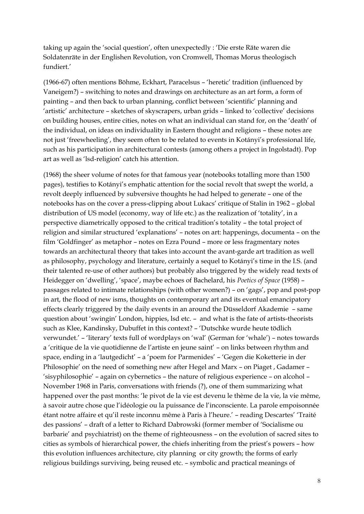taking up again the 'social question', often unexpectedly : 'Die erste Räte waren die Soldatenräte in der Englishen Revolution, von Cromwell, Thomas Morus theologisch fundiert.'

(1966-67) often mentions Böhme, Eckhart, Paracelsus – 'heretic' tradition (influenced by Vaneigem?) – switching to notes and drawings on architecture as an art form, a form of painting – and then back to urban planning, conflict between 'scientific' planning and 'artistic' architecture – sketches of skyscrapers, urban grids – linked to 'collective' decisions on building houses, entire cities, notes on what an individual can stand for, on the 'death' of the individual, on ideas on individuality in Eastern thought and religions – these notes are not just 'freewheeling', they seem often to be related to events in Kotányi's professional life, such as his participation in architectural contests (among others a project in Ingolstadt). Pop art as well as 'lsd-religion' catch his attention.

(1968) the sheer volume of notes for that famous year (notebooks totalling more than 1500 pages), testifies to Kotányi's emphatic attention for the social revolt that swept the world, a revolt deeply influenced by subversive thoughts he had helped to generate – one of the notebooks has on the cover a press-clipping about Lukacs' critique of Stalin in 1962 – global distribution of US model (economy, way of life etc.) as the realization of 'totality', in a perspective diametrically opposed to the critical tradition's totality – the total project of religion and similar structured 'explanations' – notes on art: happenings, documenta – on the film 'Goldfinger' as metaphor – notes on Ezra Pound – more or less fragmentary notes towards an architectural theory that takes into account the avant-garde art tradition as well as philosophy, psychology and literature, certainly a sequel to Kotányi's time in the I.S. (and their talented re-use of other authors) but probably also triggered by the widely read texts of Heidegger on 'dwelling', 'space', maybe echoes of Bachelard, his *Poetics of Space* (1958) – passages related to intimate relationships (with other women?) – on 'gags', pop and post-pop in art, the flood of new isms, thoughts on contemporary art and its eventual emancipatory effects clearly triggered by the daily events in an around the Düsseldorf Akademie – same question about 'swingin' London, hippies, lsd etc. – and what is the fate of artists-theorists such as Klee, Kandinsky, Dubuffet in this context? – 'Dutschke wurde heute tödlich verwundet.' – 'literary' texts full of wordplays on 'wal' (German for 'whale') – notes towards a 'critique de la vie quotidienne de l'artiste en jeune saint' – on links between rhythm and space, ending in a 'lautgedicht' – a 'poem for Parmenides' – 'Gegen die Koketterie in der Philosophie' on the need of something new after Hegel and Marx – on Piaget , Gadamer – 'sisyphilosophie' – again on cybernetics – the nature of religious experience – on alcohol – November 1968 in Paris, conversations with friends (?), one of them summarizing what happened over the past months: 'le pivot de la vie est devenu le thème de la vie, la vie même, à savoir autre chose que l'idéologie ou la puissance de l'inconsciente. La parole empoisonnée étant notre affaire et qu'il reste inconnu même à Paris à l'heure.' – reading Descartes' 'Traité des passions' – draft of a letter to Richard Dabrowski (former member of 'Socialisme ou barbarie' and psychiatrist) on the theme of righteousness – on the evolution of sacred sites to cities as symbols of hierarchical power, the chiefs inheriting from the priest's powers – how this evolution influences architecture, city planning or city growth; the forms of early religious buildings surviving, being reused etc. – symbolic and practical meanings of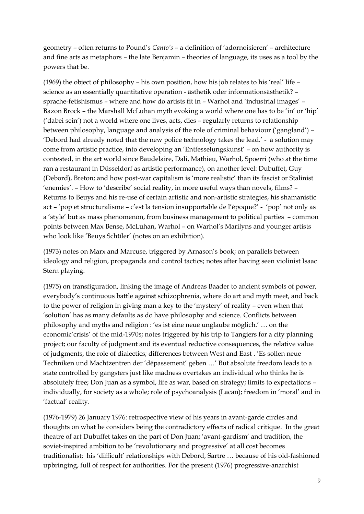geometry – often returns to Pound's *Canto's* – a definition of 'adornoisieren' – architecture and fine arts as metaphors – the late Benjamin – theories of language, its uses as a tool by the powers that be.

(1969) the object of philosophy – his own position, how his job relates to his 'real' life – science as an essentially quantitative operation - ästhetik oder informationsästhetik? – sprache-fetishismus – where and how do artists fit in – Warhol and 'industrial images' – Bazon Brock – the Marshall McLuhan myth evoking a world where one has to be 'in' or 'hip' ('dabei sein') not a world where one lives, acts, dies – regularly returns to relationship between philosophy, language and analysis of the role of criminal behaviour ('gangland') – 'Debord had already noted that the new police technology takes the lead.' - a solution may come from artistic practice, into developing an 'Entfesselungskunst' – on how authority is contested, in the art world since Baudelaire, Dali, Mathieu, Warhol, Spoerri (who at the time ran a restaurant in Düsseldorf as artistic performance), on another level: Dubuffet, Guy (Debord), Breton; and how post-war capitalism is 'more realistic' than its fascist or Stalinist 'enemies'. – How to 'describe' social reality, in more useful ways than novels, films? – Returns to Beuys and his re-use of certain artistic and non-artistic strategies, his shamanistic act – 'pop et structuralisme – c'est la tension insupportable de l'époque?' - 'pop' not only as a 'style' but as mass phenomenon, from business management to political parties – common points between Max Bense, McLuhan, Warhol – on Warhol's Marilyns and younger artists who look like 'Beuys Schüler' (notes on an exhibition).

(1973) notes on Marx and Marcuse, triggered by Arnason's book; on parallels between ideology and religion, propaganda and control tactics; notes after having seen violinist Isaac Stern playing.

(1975) on transfiguration, linking the image of Andreas Baader to ancient symbols of power, everybody's continuous battle against schizophrenia, where do art and myth meet, and back to the power of religion in giving man a key to the 'mystery' of reality – even when that 'solution' has as many defaults as do have philosophy and science. Conflicts between philosophy and myths and religion : 'es ist eine neue unglaube möglich.' … on the economic'crisis' of the mid-1970s; notes triggered by his trip to Tangiers for a city planning project; our faculty of judgment and its eventual reductive consequences, the relative value of judgments, the role of dialectics; differences between West and East . 'Es sollen neue Techniken und Machtzentren der 'dépassement' geben …' But absolute freedom leads to a state controlled by gangsters just like madness overtakes an individual who thinks he is absolutely free; Don Juan as a symbol, life as war, based on strategy; limits to expectations – individually, for society as a whole; role of psychoanalysis (Lacan); freedom in 'moral' and in 'factual' reality.

(1976-1979) 26 January 1976: retrospective view of his years in avant-garde circles and thoughts on what he considers being the contradictory effects of radical critique. In the great theatre of art Dubuffet takes on the part of Don Juan; 'avant-gardism' and tradition, the soviet-inspired ambition to be 'revolutionary and progressive' at all cost becomes traditionalist; his 'difficult' relationships with Debord, Sartre … because of his old-fashioned upbringing, full of respect for authorities. For the present (1976) progressive-anarchist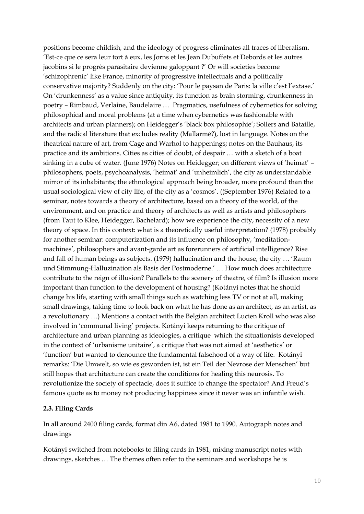positions become childish, and the ideology of progress eliminates all traces of liberalism. 'Est-ce que ce sera leur tort à eux, les Jorns et les Jean Dubuffets et Debords et les autres jacobins si le progrès parasitaire devienne galoppant ?' Or will societies become 'schizophrenic' like France, minority of progressive intellectuals and a politically conservative majority? Suddenly on the city: 'Pour le paysan de Paris: la ville c'est l'extase.' On 'drunkenness' as a value since antiquity, its function as brain storming, drunkenness in poetry – Rimbaud, Verlaine, Baudelaire … Pragmatics, usefulness of cybernetics for solving philosophical and moral problems (at a time when cybernetics was fashionable with architects and urban planners); on Heidegger's 'black box philosophie'; Sollers and Bataille, and the radical literature that excludes reality (Mallarmé?), lost in language. Notes on the theatrical nature of art, from Cage and Warhol to happenings; notes on the Bauhaus, its practice and its ambitions. Cities as cities of doubt, of despair … with a sketch of a boat sinking in a cube of water. (June 1976) Notes on Heidegger; on different views of 'heimat' – philosophers, poets, psychoanalysis, 'heimat' and 'unheimlich', the city as understandable mirror of its inhabitants; the ethnological approach being broader, more profound than the usual sociological view of city life, of the city as a 'cosmos'. ((September 1976) Related to a seminar, notes towards a theory of architecture, based on a theory of the world, of the environment, and on practice and theory of architects as well as artists and philosophers (from Taut to Klee, Heidegger, Bachelard); how we experience the city, necessity of a new theory of space. In this context: what is a theoretically useful interpretation? (1978) probably for another seminar: computerization and its influence on philosophy, 'meditationmachines', philosophers and avant-garde art as forerunners of artificial intelligence? Rise and fall of human beings as subjects. (1979) hallucination and the house, the city … 'Raum und Stimmung-Halluzination als Basis der Postmoderne.' … How much does architecture contribute to the reign of illusion? Parallels to the scenery of theatre, of film? Is illusion more important than function to the development of housing? (Kotányi notes that he should change his life, starting with small things such as watching less TV or not at all, making small drawings, taking time to look back on what he has done as an architect, as an artist, as a revolutionary …) Mentions a contact with the Belgian architect Lucien Kroll who was also involved in 'communal living' projects. Kotányi keeps returning to the critique of architecture and urban planning as ideologies, a critique which the situationists developed in the context of 'urbanisme unitaire', a critique that was not aimed at 'aesthetics' or 'function' but wanted to denounce the fundamental falsehood of a way of life. Kotányi remarks: 'Die Umwelt, so wie es geworden ist, ist ein Teil der Nevrose der Menschen' but still hopes that architecture can create the conditions for healing this neurosis. To revolutionize the society of spectacle, does it suffice to change the spectator? And Freud's famous quote as to money not producing happiness since it never was an infantile wish.

#### **2.3. Filing Cards**

In all around 2400 filing cards, format din A6, dated 1981 to 1990. Autograph notes and drawings

Kotányi switched from notebooks to filing cards in 1981, mixing manuscript notes with drawings, sketches … The themes often refer to the seminars and workshops he is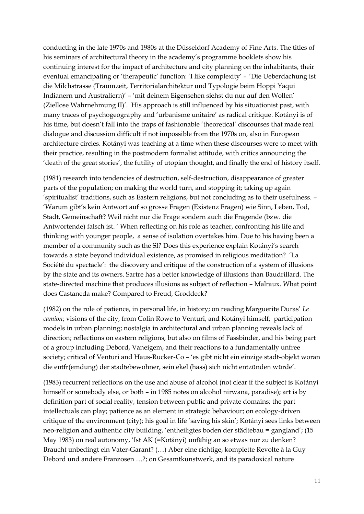conducting in the late 1970s and 1980s at the Düsseldorf Academy of Fine Arts. The titles of his seminars of architectural theory in the academy's programme booklets show his continuing interest for the impact of architecture and city planning on the inhabitants, their eventual emancipating or 'therapeutic' function: 'I like complexity' - 'Die Ueberdachung ist die Milchstrasse (Traumzeit, Territorialarchitektur und Typologie beim Hoppi Yaqui Indianern und Australiern)' – 'mit deinem Eigensehen siehst du nur auf den Wollen' (Ziellose Wahrnehmung II)'. His approach is still influenced by his situationist past, with many traces of psychogeography and 'urbanisme unitaire' as radical critique. Kotányi is of his time, but doesn't fall into the traps of fashionable 'theoretical' discourses that made real dialogue and discussion difficult if not impossible from the 1970s on, also in European architecture circles. Kotányi was teaching at a time when these discourses were to meet with their practice, resulting in the postmodern formalist attitude, with critics announcing the 'death of the great stories', the futility of utopian thought, and finally the end of history itself.

(1981) research into tendencies of destruction, self-destruction, disappearance of greater parts of the population; on making the world turn, and stopping it; taking up again 'spiritualist' traditions, such as Eastern religions, but not concluding as to their usefulness. – 'Warum gibt's kein Antwort auf so grosse Fragen (Existenz Fragen) wie Sinn, Leben, Tod, Stadt, Gemeinschaft? Weil nicht nur die Frage sondern auch die Fragende (bzw. die Antwortende) falsch ist. 'When reflecting on his role as teacher, confronting his life and thinking with younger people, a sense of isolation overtakes him. Due to his having been a member of a community such as the SI? Does this experience explain Kotányi's search towards a state beyond individual existence, as promised in religious meditation? 'La Société du spectacle': the discovery and critique of the construction of a system of illusions by the state and its owners. Sartre has a better knowledge of illusions than Baudrillard. The state-directed machine that produces illusions as subject of reflection – Malraux. What point does Castaneda make? Compared to Freud, Groddeck?

(1982) on the role of patience, in personal life, in history; on reading Marguerite Duras' *Le camion*; visions of the city, from Colin Rowe to Venturi, and Kotányi himself; participation models in urban planning; nostalgia in architectural and urban planning reveals lack of direction; reflections on eastern religions, but also on films of Fassbinder, and his being part of a group including Debord, Vaneigem, and their reactions to a fundamentally unfree society; critical of Venturi and Haus-Rucker-Co – 'es gibt nicht ein einzige stadt-objekt woran die entfr(emdung) der stadtebewohner, sein ekel (hass) sich nicht entzünden würde'.

(1983) recurrent reflections on the use and abuse of alcohol (not clear if the subject is Kotányi himself or somebody else, or both – in 1985 notes on alcohol nirwana, paradise); art is by definition part of social reality, tension between public and private domains; the part intellectuals can play; patience as an element in strategic behaviour; on ecology-driven critique of the environment (city); his goal in life 'saving his skin'; Kotányi sees links between neo-religion and authentic city building, 'entheiligtes boden der städtebau = gangland'; (15 May 1983) on real autonomy, 'Ist AK (=Kotányi) unfähig an so etwas nur zu denken? Braucht unbedingt ein Vater-Garant? (…) Aber eine richtige, komplette Revolte à la Guy Debord und andere Franzosen …?; on Gesamtkunstwerk, and its paradoxical nature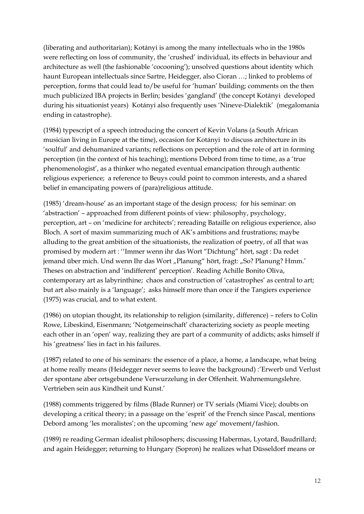(liberating and authoritarian); Kotányi is among the many intellectuals who in the 1980s were reflecting on loss of community, the 'crushed' individual, its effects in behaviour and architecture as well (the fashionable 'cocooning'); unsolved questions about identity which haunt European intellectuals since Sartre, Heidegger, also Cioran …; linked to problems of perception, forms that could lead to/be useful for 'human' building; comments on the then much publicized IBA projects in Berlin; besides 'gangland' (the concept Kotányi developed during his situationist years) Kotányi also frequently uses 'Nineve-Dialektik' (megalomania ending in catastrophe).

(1984) typescript of a speech introducing the concert of Kevin Volans (a South African musician living in Europe at the time), occasion for Kotányi to discuss architecture in its 'soulful' and dehumanized variants; reflections on perception and the role of art in forming perception (in the context of his teaching); mentions Debord from time to time, as a 'true phenomenologist', as a thinker who negated eventual emancipation through authentic religious experience; a reference to Beuys could point to common interests, and a shared belief in emancipating powers of (para)religious attitude.

(1985) 'dream-house' as an important stage of the design process; for his seminar: on 'abstraction' – approached from different points of view: philosophy, psychology, perception, art – on 'medicine for architects'; rereading Bataille on religious experience, also Bloch. A sort of maxim summarizing much of AK's ambitions and frustrations; maybe alluding to the great ambition of the situationists, the realization of poetry, of all that was promised by modern art : ''Immer wenn ihr das Wort "Dichtung" hört, sagt : Da redet jemand über mich. Und wenn Ihr das Wort "Planung" hört, fragt: "So? Planung? Hmm.' Theses on abstraction and 'indifferent' perception'. Reading Achille Bonito Oliva, contemporary art as labyrinthine; chaos and construction of 'catastrophes' as central to art; but art also mainly is a 'language'; asks himself more than once if the Tangiers experience (1975) was crucial, and to what extent.

(1986) on utopian thought, its relationship to religion (similarity, difference) – refers to Colin Rowe, Libeskind, Eisenmann; 'Notgemeinschaft' characterizing society as people meeting each other in an 'open' way, realizing they are part of a community of addicts; asks himself if his 'greatness' lies in fact in his failures.

(1987) related to one of his seminars: the essence of a place, a home, a landscape, what being at home really means (Heidegger never seems to leave the background) :'Erwerb und Verlust der spontane aber ortsgebundene Verwurzelung in der Offenheit. Wahrnemungslehre. Vertrieben sein aus Kindheit und Kunst.'

(1988) comments triggered by films (Blade Runner) or TV serials (Miami Vice); doubts on developing a critical theory; in a passage on the 'esprit' of the French since Pascal, mentions Debord among 'les moralistes'; on the upcoming 'new age' movement/fashion.

(1989) re reading German idealist philosophers; discussing Habermas, Lyotard, Baudrillard; and again Heidegger; returning to Hungary (Sopron) he realizes what Düsseldorf means or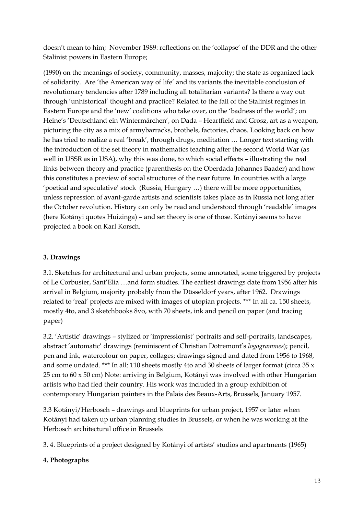doesn't mean to him; November 1989: reflections on the 'collapse' of the DDR and the other Stalinist powers in Eastern Europe;

(1990) on the meanings of society, community, masses, majority; the state as organized lack of solidarity. Are 'the American way of life' and its variants the inevitable conclusion of revolutionary tendencies after 1789 including all totalitarian variants? Is there a way out through 'unhistorical' thought and practice? Related to the fall of the Stalinist regimes in Eastern Europe and the 'new' coalitions who take over, on the 'badness of the world'; on Heine's 'Deutschland ein Wintermärchen', on Dada – Heartfield and Grosz, art as a weapon, picturing the city as a mix of armybarracks, brothels, factories, chaos. Looking back on how he has tried to realize a real 'break', through drugs, meditation … Longer text starting with the introduction of the set theory in mathematics teaching after the second World War (as well in USSR as in USA), why this was done, to which social effects – illustrating the real links between theory and practice (parenthesis on the Oberdada Johannes Baader) and how this constitutes a preview of social structures of the near future. In countries with a large 'poetical and speculative' stock (Russia, Hungary …) there will be more opportunities, unless repression of avant-garde artists and scientists takes place as in Russia not long after the October revolution. History can only be read and understood through 'readable' images (here Kotányi quotes Huizinga) – and set theory is one of those. Kotányi seems to have projected a book on Karl Korsch.

## **3. Drawings**

3.1. Sketches for architectural and urban projects, some annotated, some triggered by projects of Le Corbusier, Sant'Elia …and form studies. The earliest drawings date from 1956 after his arrival in Belgium, majority probably from the Düsseldorf years, after 1962. Drawings related to 'real' projects are mixed with images of utopian projects. \*\*\* In all ca. 150 sheets, mostly 4to, and 3 sketchbooks 8vo, with 70 sheets, ink and pencil on paper (and tracing paper)

3.2. 'Artistic' drawings – stylized or 'impressionist' portraits and self-portraits, landscapes, abstract 'automatic' drawings (reminiscent of Christian Dotremont's *logogrammes*); pencil, pen and ink, watercolour on paper, collages; drawings signed and dated from 1956 to 1968, and some undated. \*\*\* In all: 110 sheets mostly 4to and 30 sheets of larger format (circa 35 x 25 cm to 60 x 50 cm) Note: arriving in Belgium, Kotányi was involved with other Hungarian artists who had fled their country. His work was included in a group exhibition of contemporary Hungarian painters in the Palais des Beaux-Arts, Brussels, January 1957.

3.3 Kotányi/Herbosch – drawings and blueprints for urban project, 1957 or later when Kotányi had taken up urban planning studies in Brussels, or when he was working at the Herbosch architectural office in Brussels

3. 4. Blueprints of a project designed by Kotányi of artists' studios and apartments (1965)

### **4. Photographs**